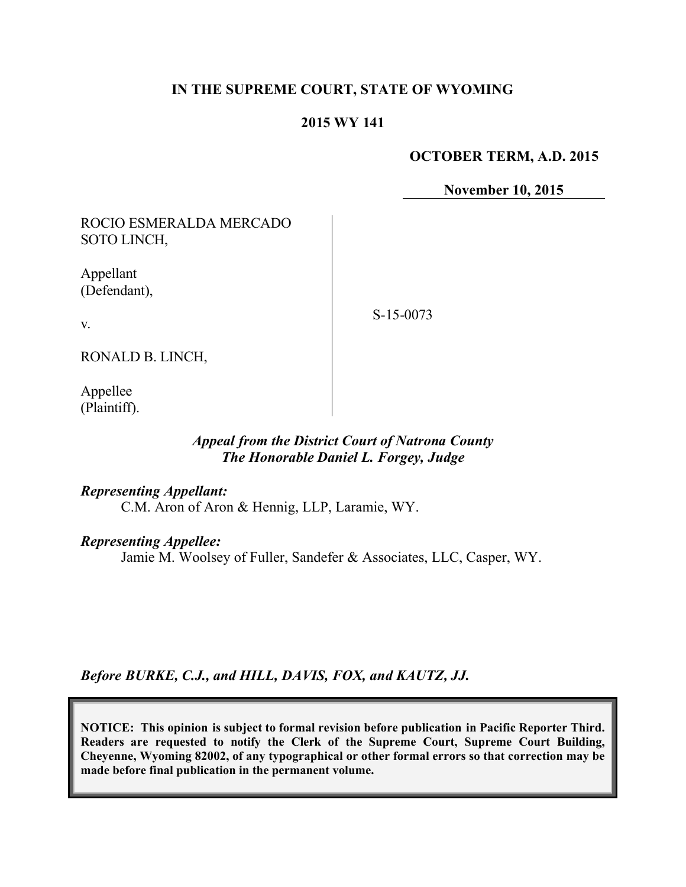# **IN THE SUPREME COURT, STATE OF WYOMING**

# **2015 WY 141**

### **OCTOBER TERM, A.D. 2015**

**November 10, 2015**

ROCIO ESMERALDA MERCADO SOTO LINCH,

Appellant (Defendant),

S-15-0073

v.

RONALD B. LINCH,

Appellee (Plaintiff).

# *Appeal from the District Court of Natrona County The Honorable Daniel L. Forgey, Judge*

#### *Representing Appellant:*

C.M. Aron of Aron & Hennig, LLP, Laramie, WY.

#### *Representing Appellee:*

Jamie M. Woolsey of Fuller, Sandefer & Associates, LLC, Casper, WY.

*Before BURKE, C.J., and HILL, DAVIS, FOX, and KAUTZ, JJ.*

**NOTICE: This opinion is subject to formal revision before publication in Pacific Reporter Third. Readers are requested to notify the Clerk of the Supreme Court, Supreme Court Building, Cheyenne, Wyoming 82002, of any typographical or other formal errors so that correction may be made before final publication in the permanent volume.**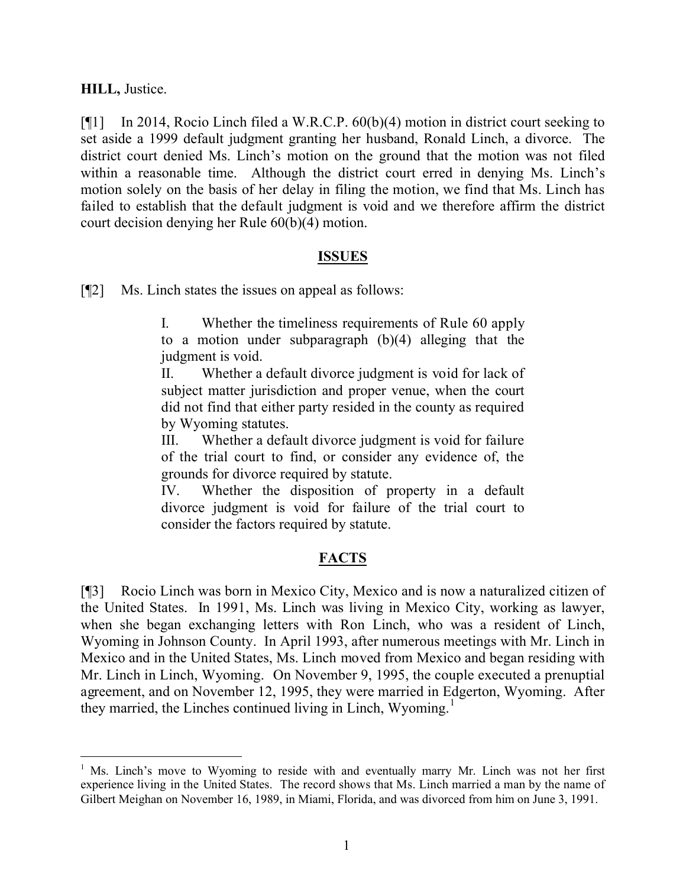# **HILL,** Justice.

[¶1] In 2014, Rocio Linch filed a W.R.C.P. 60(b)(4) motion in district court seeking to set aside a 1999 default judgment granting her husband, Ronald Linch, a divorce. The district court denied Ms. Linch's motion on the ground that the motion was not filed within a reasonable time. Although the district court erred in denying Ms. Linch's motion solely on the basis of her delay in filing the motion, we find that Ms. Linch has failed to establish that the default judgment is void and we therefore affirm the district court decision denying her Rule 60(b)(4) motion.

# **ISSUES**

[¶2] Ms. Linch states the issues on appeal as follows:

I. Whether the timeliness requirements of Rule 60 apply to a motion under subparagraph (b)(4) alleging that the judgment is void.

II. Whether a default divorce judgment is void for lack of subject matter jurisdiction and proper venue, when the court did not find that either party resided in the county as required by Wyoming statutes.

III. Whether a default divorce judgment is void for failure of the trial court to find, or consider any evidence of, the grounds for divorce required by statute.

IV. Whether the disposition of property in a default divorce judgment is void for failure of the trial court to consider the factors required by statute.

# **FACTS**

[¶3] Rocio Linch was born in Mexico City, Mexico and is now a naturalized citizen of the United States. In 1991, Ms. Linch was living in Mexico City, working as lawyer, when she began exchanging letters with Ron Linch, who was a resident of Linch, Wyoming in Johnson County. In April 1993, after numerous meetings with Mr. Linch in Mexico and in the United States, Ms. Linch moved from Mexico and began residing with Mr. Linch in Linch, Wyoming. On November 9, 1995, the couple executed a prenuptial agreement, and on November 12, 1995, they were married in Edgerton, Wyoming. After they married, the Linches continued living in Linch, Wyoming.<sup>1</sup>

<sup>&</sup>lt;sup>1</sup> Ms. Linch's move to Wyoming to reside with and eventually marry Mr. Linch was not her first experience living in the United States. The record shows that Ms. Linch married a man by the name of Gilbert Meighan on November 16, 1989, in Miami, Florida, and was divorced from him on June 3, 1991.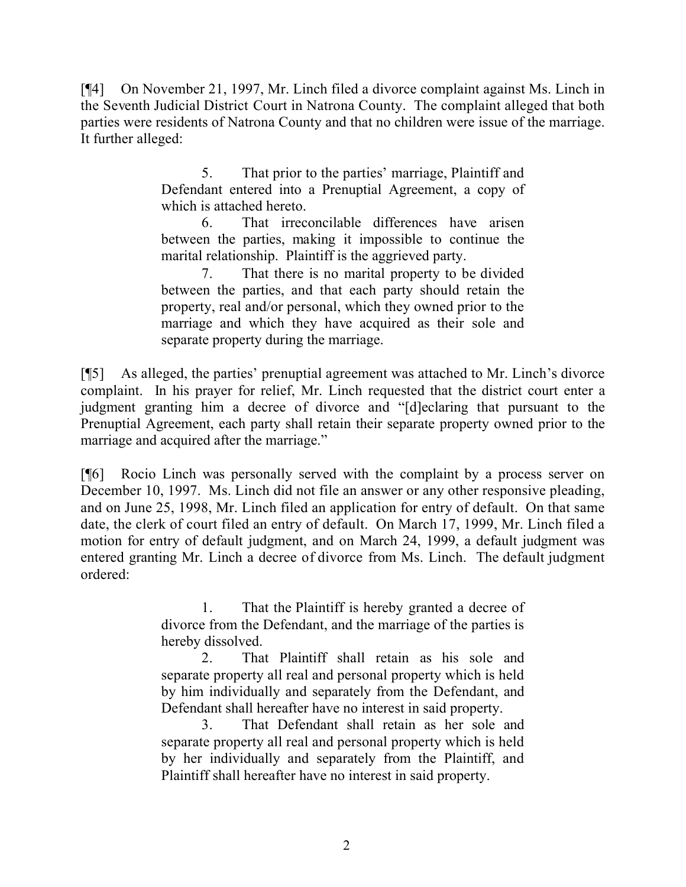[¶4] On November 21, 1997, Mr. Linch filed a divorce complaint against Ms. Linch in the Seventh Judicial District Court in Natrona County. The complaint alleged that both parties were residents of Natrona County and that no children were issue of the marriage. It further alleged:

> 5. That prior to the parties' marriage, Plaintiff and Defendant entered into a Prenuptial Agreement, a copy of which is attached hereto.

> 6. That irreconcilable differences have arisen between the parties, making it impossible to continue the marital relationship. Plaintiff is the aggrieved party.

> 7. That there is no marital property to be divided between the parties, and that each party should retain the property, real and/or personal, which they owned prior to the marriage and which they have acquired as their sole and separate property during the marriage.

[¶5] As alleged, the parties' prenuptial agreement was attached to Mr. Linch's divorce complaint. In his prayer for relief, Mr. Linch requested that the district court enter a judgment granting him a decree of divorce and "[d]eclaring that pursuant to the Prenuptial Agreement, each party shall retain their separate property owned prior to the marriage and acquired after the marriage."

[¶6] Rocio Linch was personally served with the complaint by a process server on December 10, 1997. Ms. Linch did not file an answer or any other responsive pleading, and on June 25, 1998, Mr. Linch filed an application for entry of default. On that same date, the clerk of court filed an entry of default. On March 17, 1999, Mr. Linch filed a motion for entry of default judgment, and on March 24, 1999, a default judgment was entered granting Mr. Linch a decree of divorce from Ms. Linch. The default judgment ordered:

> 1. That the Plaintiff is hereby granted a decree of divorce from the Defendant, and the marriage of the parties is hereby dissolved.

> 2. That Plaintiff shall retain as his sole and separate property all real and personal property which is held by him individually and separately from the Defendant, and Defendant shall hereafter have no interest in said property.

> 3. That Defendant shall retain as her sole and separate property all real and personal property which is held by her individually and separately from the Plaintiff, and Plaintiff shall hereafter have no interest in said property.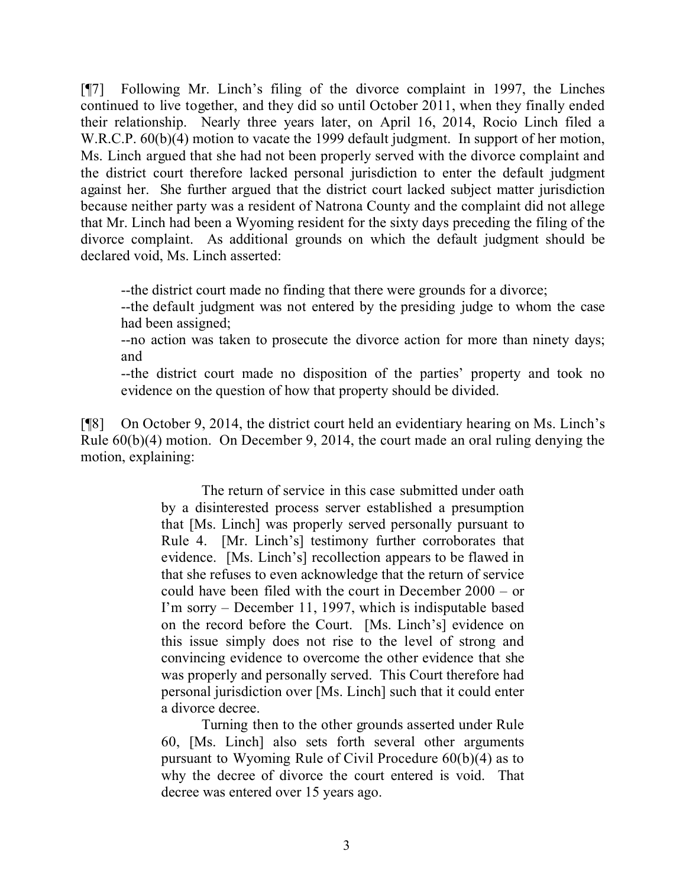[¶7] Following Mr. Linch's filing of the divorce complaint in 1997, the Linches continued to live together, and they did so until October 2011, when they finally ended their relationship. Nearly three years later, on April 16, 2014, Rocio Linch filed a W.R.C.P.  $60(b)(4)$  motion to vacate the 1999 default judgment. In support of her motion, Ms. Linch argued that she had not been properly served with the divorce complaint and the district court therefore lacked personal jurisdiction to enter the default judgment against her. She further argued that the district court lacked subject matter jurisdiction because neither party was a resident of Natrona County and the complaint did not allege that Mr. Linch had been a Wyoming resident for the sixty days preceding the filing of the divorce complaint. As additional grounds on which the default judgment should be declared void, Ms. Linch asserted:

--the district court made no finding that there were grounds for a divorce;

--the default judgment was not entered by the presiding judge to whom the case had been assigned;

--no action was taken to prosecute the divorce action for more than ninety days; and

--the district court made no disposition of the parties' property and took no evidence on the question of how that property should be divided.

[¶8] On October 9, 2014, the district court held an evidentiary hearing on Ms. Linch's Rule 60(b)(4) motion. On December 9, 2014, the court made an oral ruling denying the motion, explaining:

> The return of service in this case submitted under oath by a disinterested process server established a presumption that [Ms. Linch] was properly served personally pursuant to Rule 4. [Mr. Linch's] testimony further corroborates that evidence. [Ms. Linch's] recollection appears to be flawed in that she refuses to even acknowledge that the return of service could have been filed with the court in December 2000 – or I'm sorry – December 11, 1997, which is indisputable based on the record before the Court. [Ms. Linch's] evidence on this issue simply does not rise to the level of strong and convincing evidence to overcome the other evidence that she was properly and personally served. This Court therefore had personal jurisdiction over [Ms. Linch] such that it could enter a divorce decree.

> Turning then to the other grounds asserted under Rule 60, [Ms. Linch] also sets forth several other arguments pursuant to Wyoming Rule of Civil Procedure 60(b)(4) as to why the decree of divorce the court entered is void. That decree was entered over 15 years ago.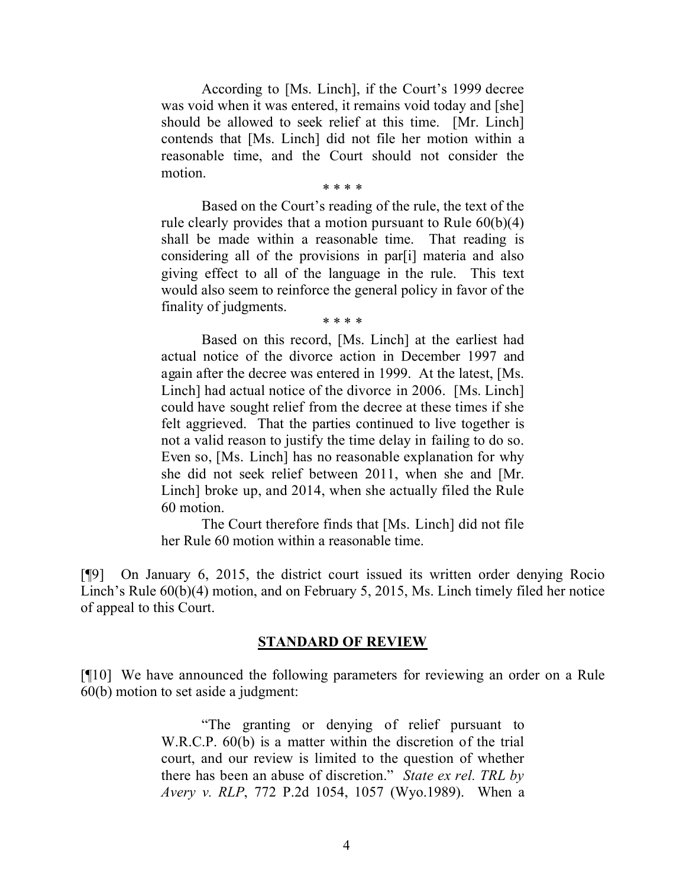According to [Ms. Linch], if the Court's 1999 decree was void when it was entered, it remains void today and [she] should be allowed to seek relief at this time. [Mr. Linch] contends that [Ms. Linch] did not file her motion within a reasonable time, and the Court should not consider the motion.

\* \* \* \*

Based on the Court's reading of the rule, the text of the rule clearly provides that a motion pursuant to Rule 60(b)(4) shall be made within a reasonable time. That reading is considering all of the provisions in par[i] materia and also giving effect to all of the language in the rule. This text would also seem to reinforce the general policy in favor of the finality of judgments.

\* \* \* \*

Based on this record, [Ms. Linch] at the earliest had actual notice of the divorce action in December 1997 and again after the decree was entered in 1999. At the latest, [Ms. Linch] had actual notice of the divorce in 2006. [Ms. Linch] could have sought relief from the decree at these times if she felt aggrieved. That the parties continued to live together is not a valid reason to justify the time delay in failing to do so. Even so, [Ms. Linch] has no reasonable explanation for why she did not seek relief between 2011, when she and [Mr. Linch] broke up, and 2014, when she actually filed the Rule 60 motion.

The Court therefore finds that [Ms. Linch] did not file her Rule 60 motion within a reasonable time.

[¶9] On January 6, 2015, the district court issued its written order denying Rocio Linch's Rule 60(b)(4) motion, and on February 5, 2015, Ms. Linch timely filed her notice of appeal to this Court.

#### **STANDARD OF REVIEW**

[¶10] We have announced the following parameters for reviewing an order on a Rule 60(b) motion to set aside a judgment:

> "The granting or denying of relief pursuant to W.R.C.P. 60(b) is a matter within the discretion of the trial court, and our review is limited to the question of whether there has been an abuse of discretion." *State ex rel. TRL by Avery v. RLP*, 772 P.2d 1054, 1057 (Wyo.1989). When a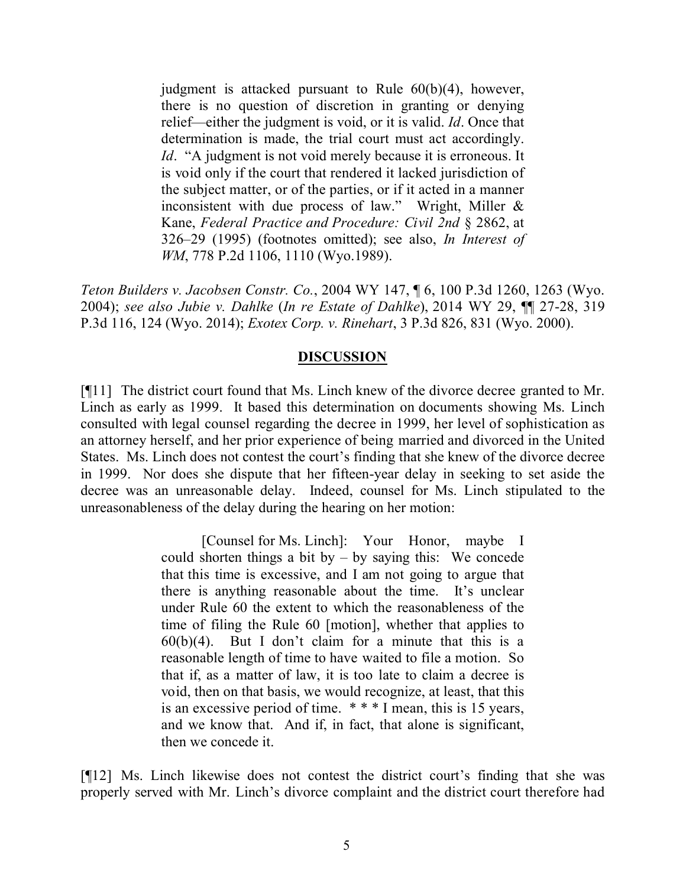judgment is attacked pursuant to Rule 60(b)(4), however, there is no question of discretion in granting or denying relief—either the judgment is void, or it is valid. *Id*. Once that determination is made, the trial court must act accordingly. *Id.* "A judgment is not void merely because it is erroneous. It is void only if the court that rendered it lacked jurisdiction of the subject matter, or of the parties, or if it acted in a manner inconsistent with due process of law." Wright, Miller & Kane, *Federal Practice and Procedure: Civil 2nd* § 2862, at 326–29 (1995) (footnotes omitted); see also, *In Interest of WM*, 778 P.2d 1106, 1110 (Wyo.1989).

*Teton Builders v. Jacobsen Constr. Co.*, 2004 WY 147, ¶ 6, 100 P.3d 1260, 1263 (Wyo. 2004); *see also Jubie v. Dahlke* (*In re Estate of Dahlke*), 2014 WY 29, ¶¶ 27-28, 319 P.3d 116, 124 (Wyo. 2014); *Exotex Corp. v. Rinehart*, 3 P.3d 826, 831 (Wyo. 2000).

# **DISCUSSION**

[¶11] The district court found that Ms. Linch knew of the divorce decree granted to Mr. Linch as early as 1999. It based this determination on documents showing Ms. Linch consulted with legal counsel regarding the decree in 1999, her level of sophistication as an attorney herself, and her prior experience of being married and divorced in the United States. Ms. Linch does not contest the court's finding that she knew of the divorce decree in 1999. Nor does she dispute that her fifteen-year delay in seeking to set aside the decree was an unreasonable delay. Indeed, counsel for Ms. Linch stipulated to the unreasonableness of the delay during the hearing on her motion:

> [Counsel for Ms. Linch]: Your Honor, maybe I could shorten things a bit by  $-$  by saying this: We concede that this time is excessive, and I am not going to argue that there is anything reasonable about the time. It's unclear under Rule 60 the extent to which the reasonableness of the time of filing the Rule 60 [motion], whether that applies to  $60(b)(4)$ . But I don't claim for a minute that this is a reasonable length of time to have waited to file a motion. So that if, as a matter of law, it is too late to claim a decree is void, then on that basis, we would recognize, at least, that this is an excessive period of time. \* \* \* I mean, this is 15 years, and we know that. And if, in fact, that alone is significant, then we concede it.

[¶12] Ms. Linch likewise does not contest the district court's finding that she was properly served with Mr. Linch's divorce complaint and the district court therefore had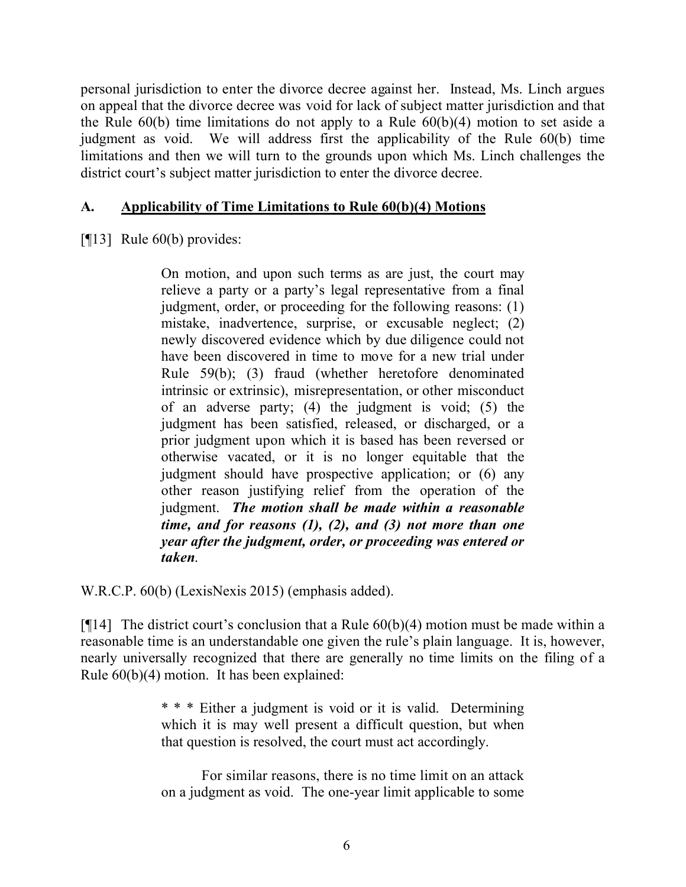personal jurisdiction to enter the divorce decree against her. Instead, Ms. Linch argues on appeal that the divorce decree was void for lack of subject matter jurisdiction and that the Rule  $60(b)$  time limitations do not apply to a Rule  $60(b)(4)$  motion to set aside a judgment as void. We will address first the applicability of the Rule 60(b) time limitations and then we will turn to the grounds upon which Ms. Linch challenges the district court's subject matter jurisdiction to enter the divorce decree.

# **A. Applicability of Time Limitations to Rule 60(b)(4) Motions**

[¶13] Rule 60(b) provides:

On motion, and upon such terms as are just, the court may relieve a party or a party's legal representative from a final judgment, order, or proceeding for the following reasons: (1) mistake, inadvertence, surprise, or excusable neglect; (2) newly discovered evidence which by due diligence could not have been discovered in time to move for a new trial under Rule 59(b); (3) fraud (whether heretofore denominated intrinsic or extrinsic), misrepresentation, or other misconduct of an adverse party; (4) the judgment is void; (5) the judgment has been satisfied, released, or discharged, or a prior judgment upon which it is based has been reversed or otherwise vacated, or it is no longer equitable that the judgment should have prospective application; or (6) any other reason justifying relief from the operation of the judgment. *The motion shall be made within a reasonable time, and for reasons (1), (2), and (3) not more than one year after the judgment, order, or proceeding was entered or taken*.

W.R.C.P. 60(b) (LexisNexis 2015) (emphasis added).

[ $[14]$ ] The district court's conclusion that a Rule  $60(b)(4)$  motion must be made within a reasonable time is an understandable one given the rule's plain language. It is, however, nearly universally recognized that there are generally no time limits on the filing of a Rule 60(b)(4) motion. It has been explained:

> \* \* \* Either a judgment is void or it is valid. Determining which it is may well present a difficult question, but when that question is resolved, the court must act accordingly.

> For similar reasons, there is no time limit on an attack on a judgment as void. The one-year limit applicable to some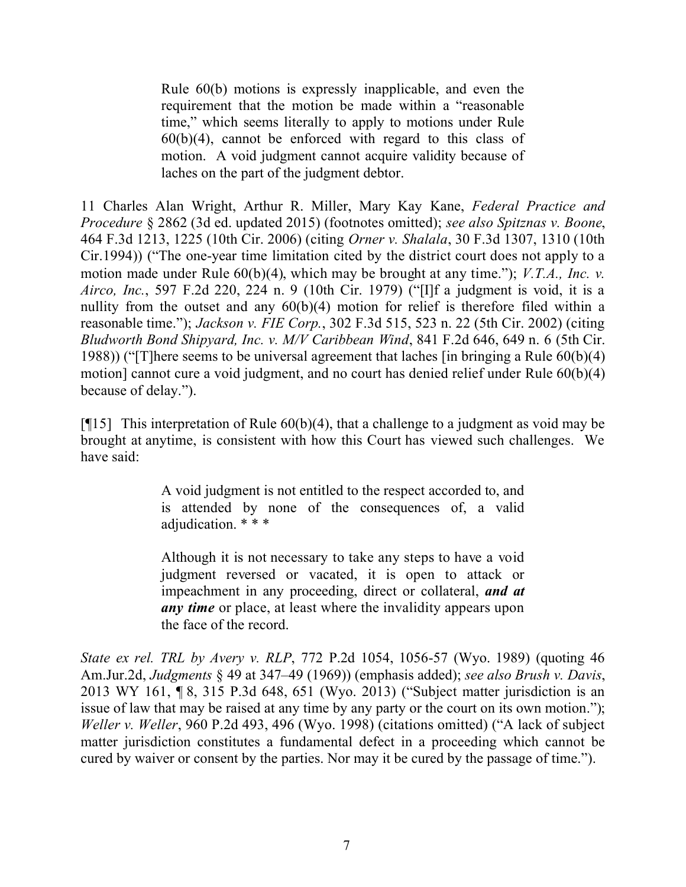Rule 60(b) motions is expressly inapplicable, and even the requirement that the motion be made within a "reasonable time," which seems literally to apply to motions under Rule  $60(b)(4)$ , cannot be enforced with regard to this class of motion. A void judgment cannot acquire validity because of laches on the part of the judgment debtor.

11 Charles Alan Wright, Arthur R. Miller, Mary Kay Kane, *Federal Practice and Procedure* § 2862 (3d ed. updated 2015) (footnotes omitted); *see also Spitznas v. Boone*, 464 F.3d 1213, 1225 (10th Cir. 2006) (citing *Orner v. Shalala*, 30 F.3d 1307, 1310 (10th Cir.1994)) ("The one-year time limitation cited by the district court does not apply to a motion made under Rule 60(b)(4), which may be brought at any time."); *V.T.A., Inc. v. Airco, Inc.*, 597 F.2d 220, 224 n. 9 (10th Cir. 1979) ("[I]f a judgment is void, it is a nullity from the outset and any 60(b)(4) motion for relief is therefore filed within a reasonable time."); *Jackson v. FIE Corp.*, 302 F.3d 515, 523 n. 22 (5th Cir. 2002) (citing *Bludworth Bond Shipyard, Inc. v. M/V Caribbean Wind*, 841 F.2d 646, 649 n. 6 (5th Cir. 1988)) ("[T]here seems to be universal agreement that laches [in bringing a Rule 60(b)(4) motion] cannot cure a void judgment, and no court has denied relief under Rule 60(b)(4) because of delay.").

[ $[15]$ ] This interpretation of Rule 60(b)(4), that a challenge to a judgment as void may be brought at anytime, is consistent with how this Court has viewed such challenges. We have said:

> A void judgment is not entitled to the respect accorded to, and is attended by none of the consequences of, a valid adjudication. \* \* \*

> Although it is not necessary to take any steps to have a void judgment reversed or vacated, it is open to attack or impeachment in any proceeding, direct or collateral, *and at any time* or place, at least where the invalidity appears upon the face of the record.

*State ex rel. TRL by Avery v. RLP*, 772 P.2d 1054, 1056-57 (Wyo. 1989) (quoting 46 Am.Jur.2d, *Judgments* § 49 at 347–49 (1969)) (emphasis added); *see also Brush v. Davis*, 2013 WY 161, ¶ 8, 315 P.3d 648, 651 (Wyo. 2013) ("Subject matter jurisdiction is an issue of law that may be raised at any time by any party or the court on its own motion."); *Weller v. Weller*, 960 P.2d 493, 496 (Wyo. 1998) (citations omitted) ("A lack of subject matter jurisdiction constitutes a fundamental defect in a proceeding which cannot be cured by waiver or consent by the parties. Nor may it be cured by the passage of time.").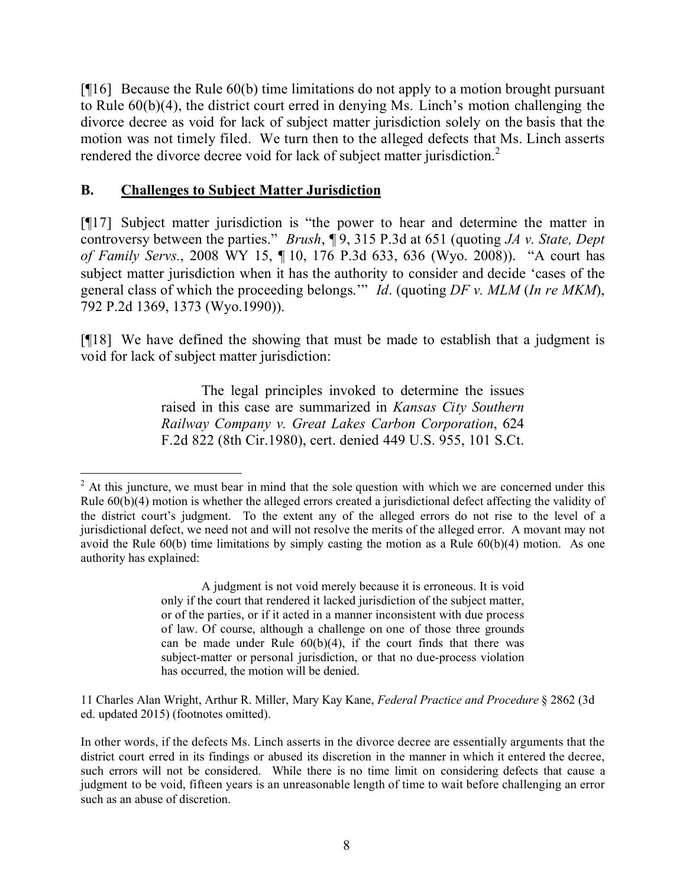[¶16] Because the Rule 60(b) time limitations do not apply to a motion brought pursuant to Rule 60(b)(4), the district court erred in denying Ms. Linch's motion challenging the divorce decree as void for lack of subject matter jurisdiction solely on the basis that the motion was not timely filed. We turn then to the alleged defects that Ms. Linch asserts rendered the divorce decree void for lack of subject matter jurisdiction.<sup>2</sup>

# **B. Challenges to Subject Matter Jurisdiction**

[¶17] Subject matter jurisdiction is "the power to hear and determine the matter in controversy between the parties." *Brush*, ¶ 9, 315 P.3d at 651 (quoting *JA v. State, Dept of Family Servs.*, 2008 WY 15, ¶ 10, 176 P.3d 633, 636 (Wyo. 2008)). "A court has subject matter jurisdiction when it has the authority to consider and decide 'cases of the general class of which the proceeding belongs.'" *Id*. (quoting *DF v. MLM* (*In re MKM*), 792 P.2d 1369, 1373 (Wyo.1990)).

[¶18] We have defined the showing that must be made to establish that a judgment is void for lack of subject matter jurisdiction:

> The legal principles invoked to determine the issues raised in this case are summarized in *Kansas City Southern Railway Company v. Great Lakes Carbon Corporation*, 624 F.2d 822 (8th Cir.1980), cert. denied 449 U.S. 955, 101 S.Ct.

A judgment is not void merely because it is erroneous. It is void only if the court that rendered it lacked jurisdiction of the subject matter, or of the parties, or if it acted in a manner inconsistent with due process of law. Of course, although a challenge on one of those three grounds can be made under Rule  $60(b)(4)$ , if the court finds that there was subject-matter or personal jurisdiction, or that no due-process violation has occurred, the motion will be denied.

11 Charles Alan Wright, Arthur R. Miller, Mary Kay Kane, *Federal Practice and Procedure* § 2862 (3d ed. updated 2015) (footnotes omitted).

  $2$  At this juncture, we must bear in mind that the sole question with which we are concerned under this Rule 60(b)(4) motion is whether the alleged errors created a jurisdictional defect affecting the validity of the district court's judgment. To the extent any of the alleged errors do not rise to the level of a jurisdictional defect, we need not and will not resolve the merits of the alleged error. A movant may not avoid the Rule  $60(b)$  time limitations by simply casting the motion as a Rule  $60(b)(4)$  motion. As one authority has explained:

In other words, if the defects Ms. Linch asserts in the divorce decree are essentially arguments that the district court erred in its findings or abused its discretion in the manner in which it entered the decree, such errors will not be considered. While there is no time limit on considering defects that cause a judgment to be void, fifteen years is an unreasonable length of time to wait before challenging an error such as an abuse of discretion.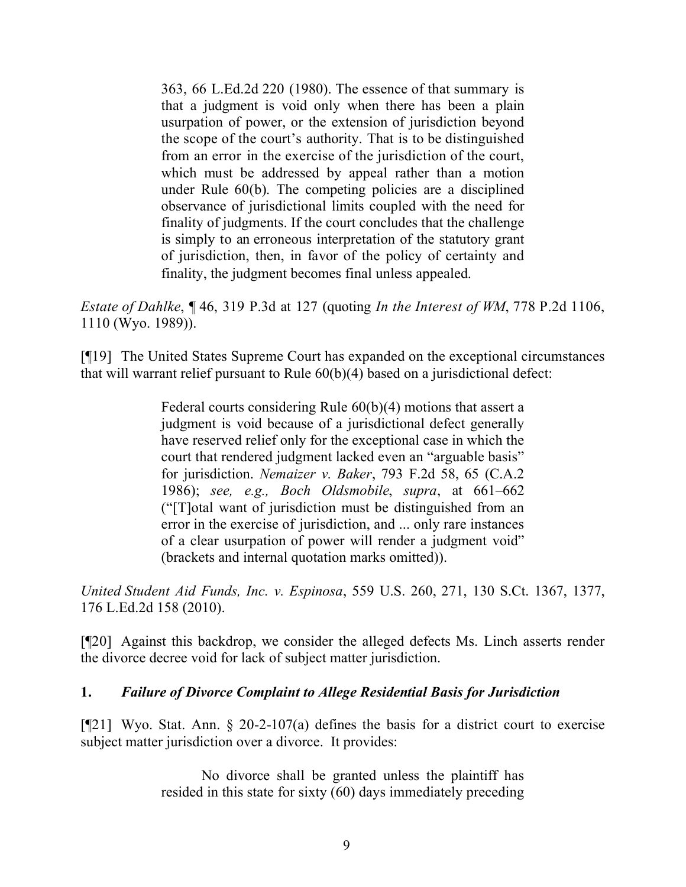363, 66 L.Ed.2d 220 (1980). The essence of that summary is that a judgment is void only when there has been a plain usurpation of power, or the extension of jurisdiction beyond the scope of the court's authority. That is to be distinguished from an error in the exercise of the jurisdiction of the court, which must be addressed by appeal rather than a motion under Rule 60(b). The competing policies are a disciplined observance of jurisdictional limits coupled with the need for finality of judgments. If the court concludes that the challenge is simply to an erroneous interpretation of the statutory grant of jurisdiction, then, in favor of the policy of certainty and finality, the judgment becomes final unless appealed.

*Estate of Dahlke*, ¶ 46, 319 P.3d at 127 (quoting *In the Interest of WM*, 778 P.2d 1106, 1110 (Wyo. 1989)).

[¶19] The United States Supreme Court has expanded on the exceptional circumstances that will warrant relief pursuant to Rule 60(b)(4) based on a jurisdictional defect:

> Federal courts considering Rule 60(b)(4) motions that assert a judgment is void because of a jurisdictional defect generally have reserved relief only for the exceptional case in which the court that rendered judgment lacked even an "arguable basis" for jurisdiction. *Nemaizer v. Baker*, 793 F.2d 58, 65 (C.A.2 1986); *see, e.g., Boch Oldsmobile*, *supra*, at 661–662 ("[T]otal want of jurisdiction must be distinguished from an error in the exercise of jurisdiction, and ... only rare instances of a clear usurpation of power will render a judgment void" (brackets and internal quotation marks omitted)).

*United Student Aid Funds, Inc. v. Espinosa*, 559 U.S. 260, 271, 130 S.Ct. 1367, 1377, 176 L.Ed.2d 158 (2010).

[¶20] Against this backdrop, we consider the alleged defects Ms. Linch asserts render the divorce decree void for lack of subject matter jurisdiction.

# **1.** *Failure of Divorce Complaint to Allege Residential Basis for Jurisdiction*

[ $[21]$ ] Wyo. Stat. Ann. § 20-2-107(a) defines the basis for a district court to exercise subject matter jurisdiction over a divorce. It provides:

> No divorce shall be granted unless the plaintiff has resided in this state for sixty (60) days immediately preceding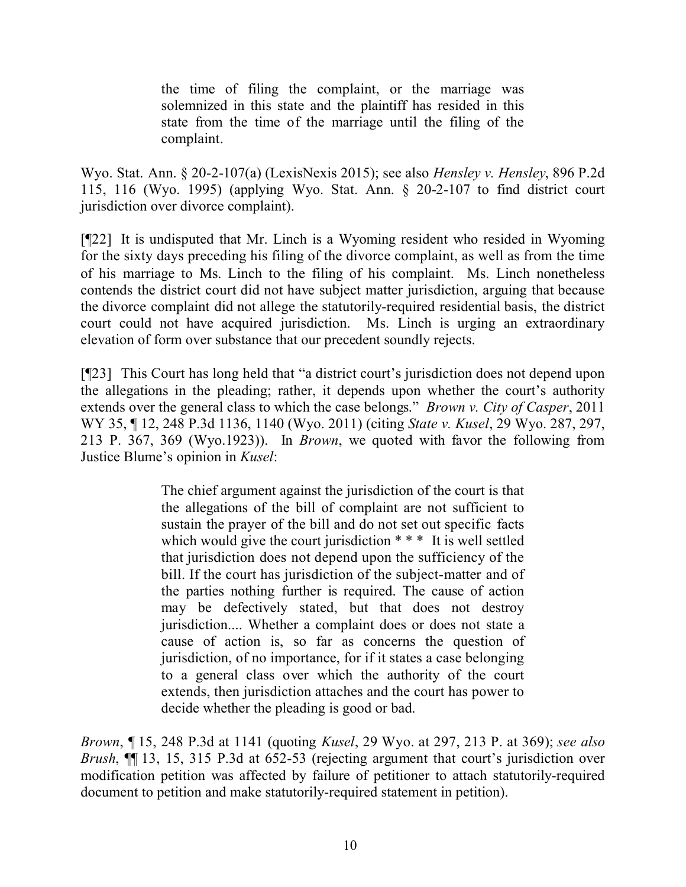the time of filing the complaint, or the marriage was solemnized in this state and the plaintiff has resided in this state from the time of the marriage until the filing of the complaint.

Wyo. Stat. Ann. § 20-2-107(a) (LexisNexis 2015); see also *Hensley v. Hensley*, 896 P.2d 115, 116 (Wyo. 1995) (applying Wyo. Stat. Ann. § 20-2-107 to find district court jurisdiction over divorce complaint).

[¶22] It is undisputed that Mr. Linch is a Wyoming resident who resided in Wyoming for the sixty days preceding his filing of the divorce complaint, as well as from the time of his marriage to Ms. Linch to the filing of his complaint. Ms. Linch nonetheless contends the district court did not have subject matter jurisdiction, arguing that because the divorce complaint did not allege the statutorily-required residential basis, the district court could not have acquired jurisdiction. Ms. Linch is urging an extraordinary elevation of form over substance that our precedent soundly rejects.

[¶23] This Court has long held that "a district court's jurisdiction does not depend upon the allegations in the pleading; rather, it depends upon whether the court's authority extends over the general class to which the case belongs." *Brown v. City of Casper*, 2011 WY 35, ¶ 12, 248 P.3d 1136, 1140 (Wyo. 2011) (citing *State v. Kusel*, 29 Wyo. 287, 297, 213 P. 367, 369 (Wyo.1923)). In *Brown*, we quoted with favor the following from Justice Blume's opinion in *Kusel*:

> The chief argument against the jurisdiction of the court is that the allegations of the bill of complaint are not sufficient to sustain the prayer of the bill and do not set out specific facts which would give the court jurisdiction \* \* \* It is well settled that jurisdiction does not depend upon the sufficiency of the bill. If the court has jurisdiction of the subject-matter and of the parties nothing further is required. The cause of action may be defectively stated, but that does not destroy jurisdiction.... Whether a complaint does or does not state a cause of action is, so far as concerns the question of jurisdiction, of no importance, for if it states a case belonging to a general class over which the authority of the court extends, then jurisdiction attaches and the court has power to decide whether the pleading is good or bad.

*Brown*, ¶ 15, 248 P.3d at 1141 (quoting *Kusel*, 29 Wyo. at 297, 213 P. at 369); *see also Brush*, ¶¶ 13, 15, 315 P.3d at 652-53 (rejecting argument that court's jurisdiction over modification petition was affected by failure of petitioner to attach statutorily-required document to petition and make statutorily-required statement in petition).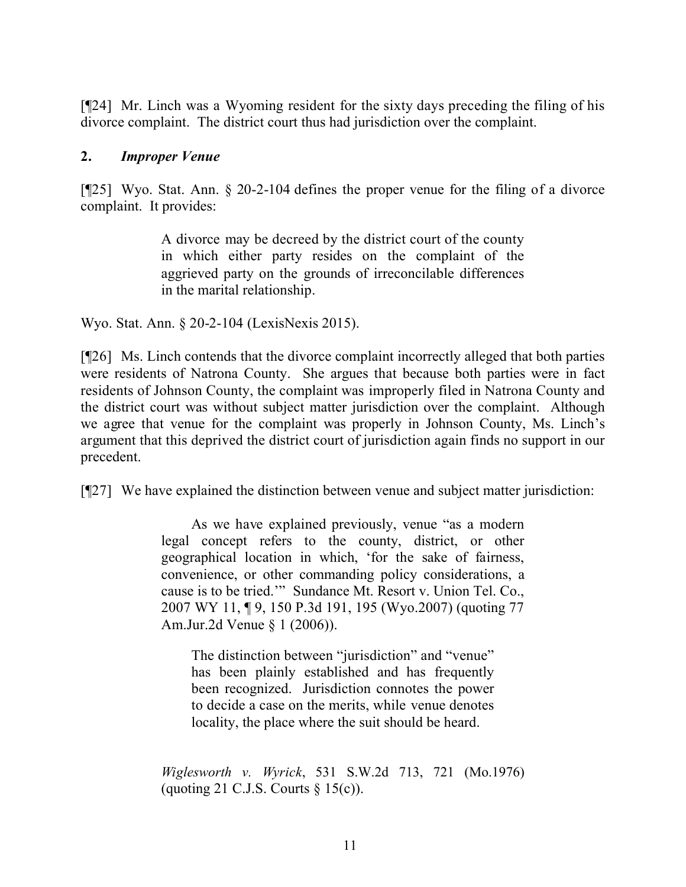[¶24] Mr. Linch was a Wyoming resident for the sixty days preceding the filing of his divorce complaint. The district court thus had jurisdiction over the complaint.

### **2.** *Improper Venue*

[¶25] Wyo. Stat. Ann. § 20-2-104 defines the proper venue for the filing of a divorce complaint. It provides:

> A divorce may be decreed by the district court of the county in which either party resides on the complaint of the aggrieved party on the grounds of irreconcilable differences in the marital relationship.

Wyo. Stat. Ann. § 20-2-104 (LexisNexis 2015).

[¶26] Ms. Linch contends that the divorce complaint incorrectly alleged that both parties were residents of Natrona County. She argues that because both parties were in fact residents of Johnson County, the complaint was improperly filed in Natrona County and the district court was without subject matter jurisdiction over the complaint. Although we agree that venue for the complaint was properly in Johnson County, Ms. Linch's argument that this deprived the district court of jurisdiction again finds no support in our precedent.

[¶27] We have explained the distinction between venue and subject matter jurisdiction:

As we have explained previously, venue "as a modern legal concept refers to the county, district, or other geographical location in which, 'for the sake of fairness, convenience, or other commanding policy considerations, a cause is to be tried.'" Sundance Mt. Resort v. Union Tel. Co., 2007 WY 11, ¶ 9, 150 P.3d 191, 195 (Wyo.2007) (quoting 77 Am.Jur.2d Venue § 1 (2006)).

The distinction between "jurisdiction" and "venue" has been plainly established and has frequently been recognized. Jurisdiction connotes the power to decide a case on the merits, while venue denotes locality, the place where the suit should be heard.

*Wiglesworth v. Wyrick*, 531 S.W.2d 713, 721 (Mo.1976) (quoting 21 C.J.S. Courts  $\S$  15(c)).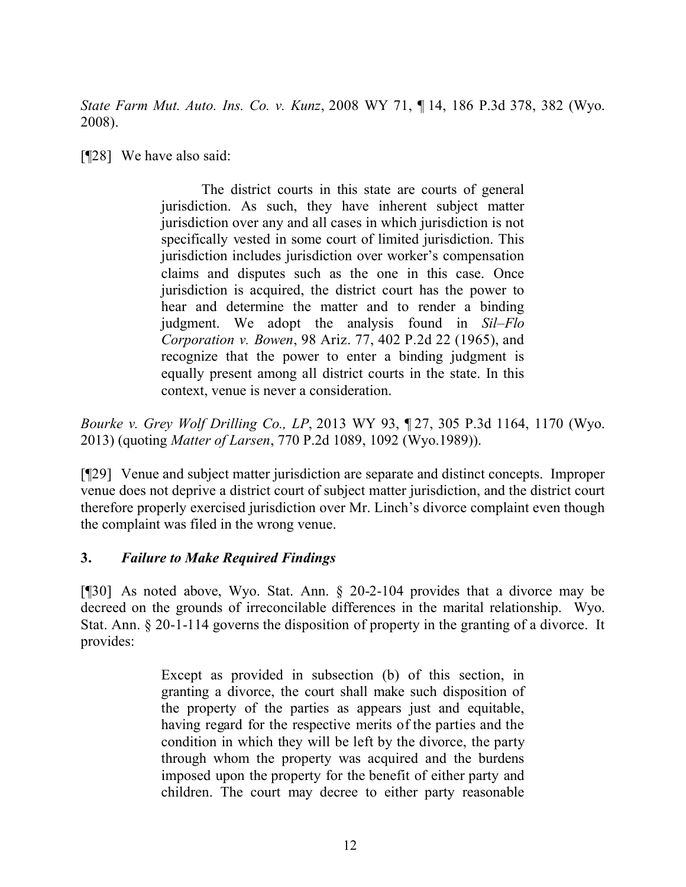*State Farm Mut. Auto. Ins. Co. v. Kunz*, 2008 WY 71, ¶ 14, 186 P.3d 378, 382 (Wyo. 2008).

[**[**[28] We have also said:

The district courts in this state are courts of general jurisdiction. As such, they have inherent subject matter jurisdiction over any and all cases in which jurisdiction is not specifically vested in some court of limited jurisdiction. This jurisdiction includes jurisdiction over worker's compensation claims and disputes such as the one in this case. Once jurisdiction is acquired, the district court has the power to hear and determine the matter and to render a binding judgment. We adopt the analysis found in *Sil–Flo Corporation v. Bowen*, 98 Ariz. 77, 402 P.2d 22 (1965), and recognize that the power to enter a binding judgment is equally present among all district courts in the state. In this context, venue is never a consideration.

*Bourke v. Grey Wolf Drilling Co., LP*, 2013 WY 93, ¶ 27, 305 P.3d 1164, 1170 (Wyo. 2013) (quoting *Matter of Larsen*, 770 P.2d 1089, 1092 (Wyo.1989)).

[¶29] Venue and subject matter jurisdiction are separate and distinct concepts. Improper venue does not deprive a district court of subject matter jurisdiction, and the district court therefore properly exercised jurisdiction over Mr. Linch's divorce complaint even though the complaint was filed in the wrong venue.

# **3.** *Failure to Make Required Findings*

[¶30] As noted above, Wyo. Stat. Ann. § 20-2-104 provides that a divorce may be decreed on the grounds of irreconcilable differences in the marital relationship. Wyo. Stat. Ann. § 20-1-114 governs the disposition of property in the granting of a divorce. It provides:

> Except as provided in subsection (b) of this section, in granting a divorce, the court shall make such disposition of the property of the parties as appears just and equitable, having regard for the respective merits of the parties and the condition in which they will be left by the divorce, the party through whom the property was acquired and the burdens imposed upon the property for the benefit of either party and children. The court may decree to either party reasonable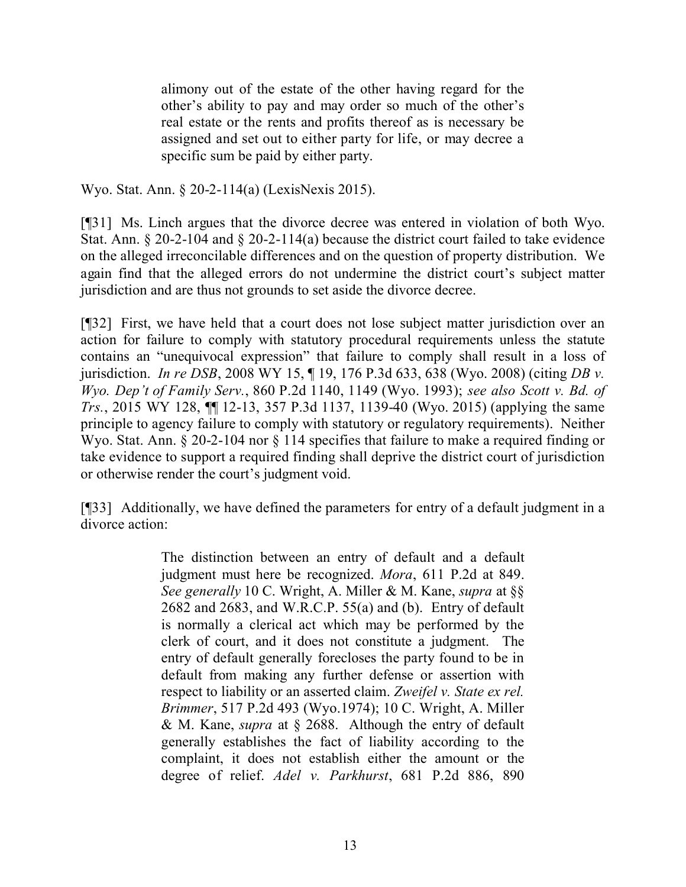alimony out of the estate of the other having regard for the other's ability to pay and may order so much of the other's real estate or the rents and profits thereof as is necessary be assigned and set out to either party for life, or may decree a specific sum be paid by either party.

Wyo. Stat. Ann. § 20-2-114(a) (LexisNexis 2015).

[¶31] Ms. Linch argues that the divorce decree was entered in violation of both Wyo. Stat. Ann. § 20-2-104 and § 20-2-114(a) because the district court failed to take evidence on the alleged irreconcilable differences and on the question of property distribution. We again find that the alleged errors do not undermine the district court's subject matter jurisdiction and are thus not grounds to set aside the divorce decree.

[¶32] First, we have held that a court does not lose subject matter jurisdiction over an action for failure to comply with statutory procedural requirements unless the statute contains an "unequivocal expression" that failure to comply shall result in a loss of jurisdiction. *In re DSB*, 2008 WY 15, ¶ 19, 176 P.3d 633, 638 (Wyo. 2008) (citing *DB v. Wyo. Dep't of Family Serv.*, 860 P.2d 1140, 1149 (Wyo. 1993); *see also Scott v. Bd. of Trs.*, 2015 WY 128, ¶¶ 12-13, 357 P.3d 1137, 1139-40 (Wyo. 2015) (applying the same principle to agency failure to comply with statutory or regulatory requirements). Neither Wyo. Stat. Ann. § 20-2-104 nor § 114 specifies that failure to make a required finding or take evidence to support a required finding shall deprive the district court of jurisdiction or otherwise render the court's judgment void.

[¶33] Additionally, we have defined the parameters for entry of a default judgment in a divorce action:

> The distinction between an entry of default and a default judgment must here be recognized. *Mora*, 611 P.2d at 849. *See generally* 10 C. Wright, A. Miller & M. Kane, *supra* at §§ 2682 and 2683, and W.R.C.P. 55(a) and (b). Entry of default is normally a clerical act which may be performed by the clerk of court, and it does not constitute a judgment. The entry of default generally forecloses the party found to be in default from making any further defense or assertion with respect to liability or an asserted claim. *Zweifel v. State ex rel. Brimmer*, 517 P.2d 493 (Wyo.1974); 10 C. Wright, A. Miller & M. Kane, *supra* at § 2688. Although the entry of default generally establishes the fact of liability according to the complaint, it does not establish either the amount or the degree of relief. *Adel v. Parkhurst*, 681 P.2d 886, 890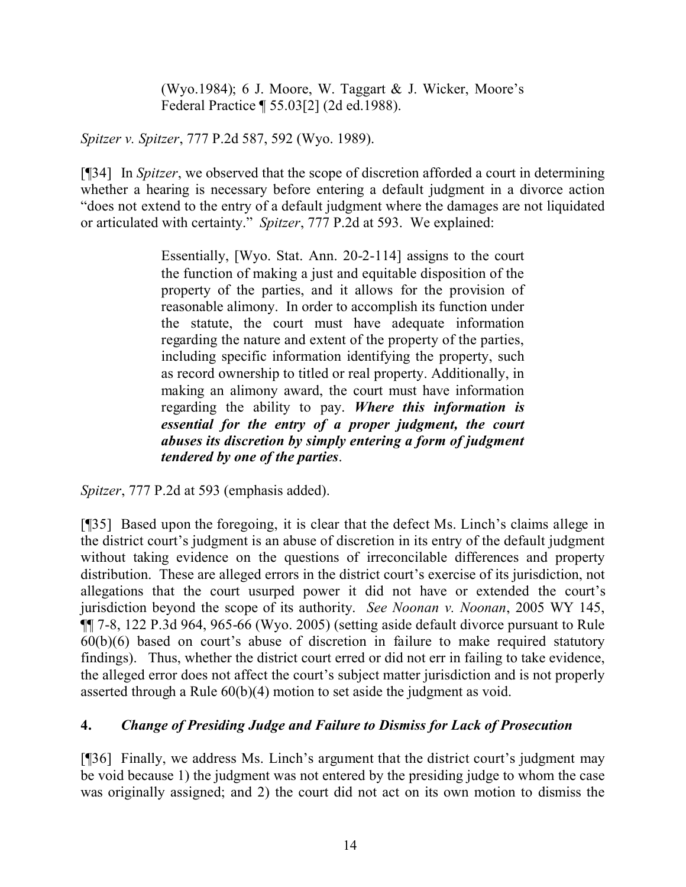(Wyo.1984); 6 J. Moore, W. Taggart & J. Wicker, Moore's Federal Practice ¶ 55.03[2] (2d ed.1988).

*Spitzer v. Spitzer*, 777 P.2d 587, 592 (Wyo. 1989).

[¶34] In *Spitzer*, we observed that the scope of discretion afforded a court in determining whether a hearing is necessary before entering a default judgment in a divorce action "does not extend to the entry of a default judgment where the damages are not liquidated or articulated with certainty." *Spitzer*, 777 P.2d at 593. We explained:

> Essentially, [Wyo. Stat. Ann. 20-2-114] assigns to the court the function of making a just and equitable disposition of the property of the parties, and it allows for the provision of reasonable alimony. In order to accomplish its function under the statute, the court must have adequate information regarding the nature and extent of the property of the parties, including specific information identifying the property, such as record ownership to titled or real property. Additionally, in making an alimony award, the court must have information regarding the ability to pay. *Where this information is essential for the entry of a proper judgment, the court abuses its discretion by simply entering a form of judgment tendered by one of the parties*.

*Spitzer*, 777 P.2d at 593 (emphasis added).

[¶35] Based upon the foregoing, it is clear that the defect Ms. Linch's claims allege in the district court's judgment is an abuse of discretion in its entry of the default judgment without taking evidence on the questions of irreconcilable differences and property distribution. These are alleged errors in the district court's exercise of its jurisdiction, not allegations that the court usurped power it did not have or extended the court's jurisdiction beyond the scope of its authority. *See Noonan v. Noonan*, 2005 WY 145, ¶¶ 7-8, 122 P.3d 964, 965-66 (Wyo. 2005) (setting aside default divorce pursuant to Rule 60(b)(6) based on court's abuse of discretion in failure to make required statutory findings). Thus, whether the district court erred or did not err in failing to take evidence, the alleged error does not affect the court's subject matter jurisdiction and is not properly asserted through a Rule 60(b)(4) motion to set aside the judgment as void.

# **4.** *Change of Presiding Judge and Failure to Dismiss for Lack of Prosecution*

[¶36] Finally, we address Ms. Linch's argument that the district court's judgment may be void because 1) the judgment was not entered by the presiding judge to whom the case was originally assigned; and 2) the court did not act on its own motion to dismiss the